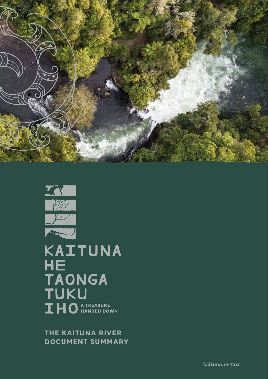**THE KAITUNA RIVER DOCUMENT SUMMARY**

**KAITUNA**<br>HE TAONGA<br>TUKU **THO A TREASURE** 

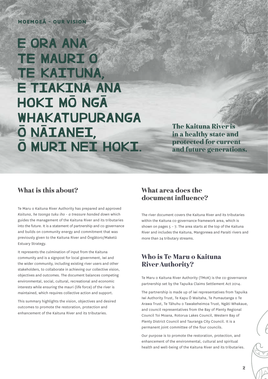## **MOEMOEĀ – OUR VISION**

# E ORA ANA **TE MAURIO TE KAITUNA, E TIAKINA ANA HOKI MO NGA** WHAKATUPURANGA O NAIANEI. O MURI NEI HOKI.

The Kaituna River is in a healthy state and protected for current and future generations.

## What is this about? What area does the

Te Maru o Kaituna River Authority has prepared and approved *Kaituna, he taonga tuku iho - a treasure handed down* which guides the management of the Kaituna River and its tributaries into the future. It is a statement of partnership and co-governance and builds on community energy and commitment that was previously given to the Kaituna River and Ōngātoro/Maketū Estuary Strategy.

It represents the culmination of input from the Kaituna community and is a signpost for local government, iwi and the wider community, including existing river users and other stakeholders, to collaborate in achieving our collective vision, objectives and outcomes. The document balances competing environmental, social, cultural, recreational and economic interests while ensuring the mauri (life force) of the river is maintained, which requires collective action and support.

This summary highlights the vision, objectives and desired outcomes to promote the restoration, protection and enhancement of the Kaituna River and its tributaries.

## document influence?

The river document covers the Kaituna River and its tributaries within the Kaituna co-governance framework area, which is shown on pages  $5 - 7$ . The area starts at the top of the Kaituna River and includes the Kaituna, Mangorewa and Paraiti rivers and more than 24 tributary streams.

## Who is Te Maru o Kaituna River Authority?

Te Maru o Kaituna River Authority (TMoK) is the co-governance partnership set by the Tapuika Claims Settlement Act 2014.

The partnership is made up of iwi representatives from Tapuika Iwi Authority Trust, Te Kapu Ō Waitaha, Te Pumautanga o Te Arawa Trust, Te Tāhuhu o Tawakeheimoa Trust, Ngāti Whakaue, and council representatives from the Bay of Plenty Regional Council Toi Moana, Rotorua Lakes Council, Western Bay of Plenty District Council and Tauranga City Council. It is a permanent joint committee of the four councils.

Our purpose is to promote the restoration, protection, and enhancement of the environmental, cultural and spiritual health and well-being of the Kaituna River and its tributaries.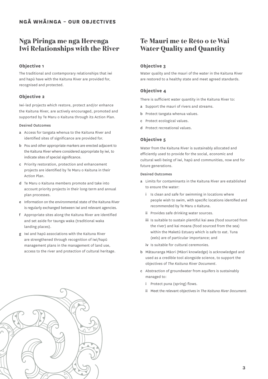## Ngā Piringa me ngā Herenga Iwi Relationships with the River

## **Objective 1**

The traditional and contemporary relationships that iwi and hapū have with the Kaituna River are provided for, recognised and protected.

## **Objective 2**

Iwi-led projects which restore, protect and/or enhance the Kaituna River, are actively encouraged, promoted and supported by Te Maru o Kaituna through its Action Plan.

#### Desired Outcomes

- a Access for tangata whenua to the Kaituna River and identified sites of significance are provided for.
- b Pou and other appropriate markers are erected adjacent to the Kaituna River where considered appropriate by iwi, to indicate sites of special significance.
- c Priority restoration, protection and enhancement projects are identified by Te Maru o Kaituna in their Action Plan.
- d Te Maru o Kaituna members promote and take into account priority projects in their long-term and annual plan processes.
- e Information on the environmental state of the Kaituna River is regularly exchanged between iwi and relevant agencies.
- f Appropriate sites along the Kaituna River are identified and set aside for taunga waka (traditional waka landing places).
- g Iwi and hapū associations with the Kaituna River are strengthened through recognition of iwi/hapū management plans in the management of land use, access to the river and protection of cultural heritage.

## Te Mauri me te Rēto o te Wai Water Quality and Quantity

#### **Objective 3**

Water quality and the mauri of the water in the Kaituna River are restored to a healthy state and meet agreed standards.

#### **Objective 4**

There is sufficient water quantity in the Kaituna River to:

- a Support the mauri of rivers and streams.
- b Protect tangata whenua values.
- c Protect ecological values.
- d Protect recreational values.

#### **Objective 5**

Water from the Kaituna River is sustainably allocated and efficiently used to provide for the social, economic and cultural well-being of iwi, hapū and communities, now and for future generations.

#### Desired Outcomes

- a Limits for contaminants in the Kaituna River are established to ensure the water:
	- i Is clean and safe for swimming in locations where people wish to swim, with specific locations identified and recommended by Te Maru o Kaituna.
	- ii Provides safe drinking water sources.
	- iii Is suitable to sustain plentiful kai awa (food sourced from the river) and kai moana (food sourced from the sea) within the Maketū Estuary which is safe to eat. Tuna (eels) are of particular importance; and
	- iv Is suitable for cultural ceremonies.
- b Mātauranga Māori (Māori knowledge) is acknowledged and used as a credible tool alongside science, to support the objectives of *The Kaituna River Document*.
- c Abstraction of groundwater from aquifers is sustainably managed to:
	- i Protect puna (spring) flows.
	- ii Meet the relevant objectives in *The Kaituna River Document*.

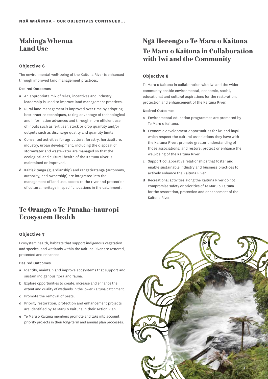## Mahinga Whenua Land Use

## **Objective 6**

The environmental well-being of the Kaituna River is enhanced through improved land management practices.

#### Desired Outcomes

- a An appropriate mix of rules, incentives and industry leadership is used to improve land management practices.
- b Rural land management is improved over time by adopting best practice techniques, taking advantage of technological and information advances and through more efficient use of inputs such as fertiliser, stock or crop quantity and/or outputs such as discharge quality and quantity limits.
- c Consented activities for agriculture, forestry, horticulture, industry, urban development, including the disposal of stormwater and wastewater are managed so that the ecological and cultural health of the Kaituna River is maintained or improved.
- d Kaitiakitanga (guardianship) and rangatiratanga (autonomy, authority, and ownership) are integrated into the management of land use, access to the river and protection of cultural heritage in specific locations in the catchment.

## Te Oranga o Te Pūnaha-hauropi Ecosystem Health

## **Objective 7**

Ecosystem health, habitats that support indigenous vegetation and species, and wetlands within the Kaituna River are restored, protected and enhanced.

#### Desired Outcomes

- a Identify, maintain and improve ecosystems that support and sustain indigenous flora and fauna.
- b Explore opportunities to create, increase and enhance the extent and quality of wetlands in the lower Kaituna catchment.
- c Promote the removal of pests.
- d Priority restoration, protection and enhancement projects are identified by Te Maru o Kaituna in their Action Plan.
- e Te Maru o Kaituna members promote and take into account priority projects in their long-term and annual plan processes.

## Ngā Herenga o Te Maru o Kaituna Te Maru o Kaituna in Collaboration with Iwi and the Community

## **Objective 8**

Te Maru o Kaituna in collaboration with iwi and the wider community enable environmental, economic, social, educational and cultural aspirations for the restoration, protection and enhancement of the Kaituna River.

#### Desired Outcomes

- a Environmental education programmes are promoted by Te Maru o Kaituna.
- b Economic development opportunities for iwi and hapū which respect the cultural associations they have with the Kaituna River; promote greater understanding of those associations; and restore, protect or enhance the well-being of the Kaituna River.
- c Support collaborative relationships that foster and enable sustainable industry and business practices to actively enhance the Kaituna River.
- d Recreational activities along the Kaituna River do not compromise safety or priorities of Te Maru o Kaituna for the restoration, protection and enhancement of the Kaituna River.

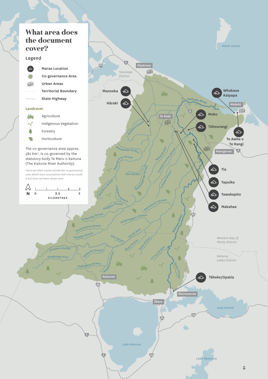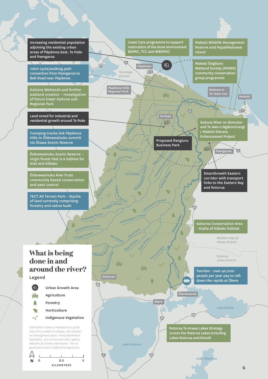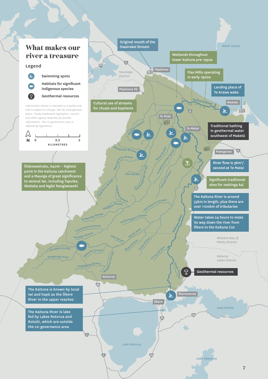